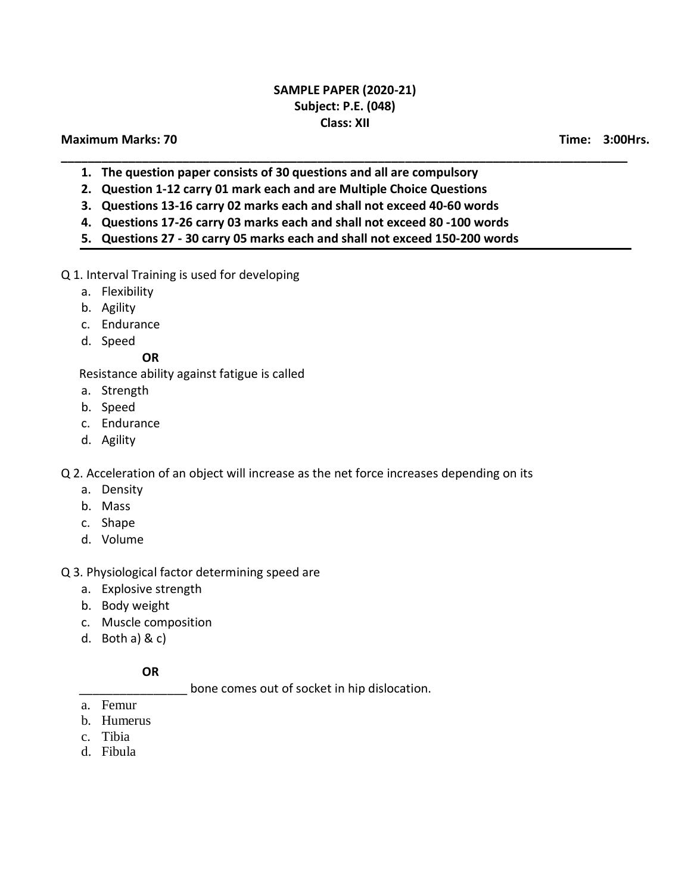## **SAMPLE PAPER (2020-21) Subject: P.E. (048) Class: XII**

**\_\_\_\_\_\_\_\_\_\_\_\_\_\_\_\_\_\_\_\_\_\_\_\_\_\_\_\_\_\_\_\_\_\_\_\_\_\_\_\_\_\_\_\_\_\_\_\_\_\_\_\_\_\_\_\_\_\_\_\_\_\_\_\_\_\_\_\_\_\_\_\_\_\_\_\_\_\_\_\_\_\_\_\_**

### **Maximum Marks: 70 Time: 3:00Hrs.**

- **1. The question paper consists of 30 questions and all are compulsory**
- **2. Question 1-12 carry 01 mark each and are Multiple Choice Questions**
- **3. Questions 13-16 carry 02 marks each and shall not exceed 40-60 words**
- **4. Questions 17-26 carry 03 marks each and shall not exceed 80 -100 words**
- **5. Questions 27 - 30 carry 05 marks each and shall not exceed 150-200 words**
- Q 1. Interval Training is used for developing
	- a. Flexibility
	- b. Agility
	- c. Endurance
	- d. Speed

**OR**

Resistance ability against fatigue is called

- a. Strength
- b. Speed
- c. Endurance
- d. Agility

Q 2. Acceleration of an object will increase as the net force increases depending on its

- a. Density
- b. Mass
- c. Shape
- d. Volume
- Q 3. Physiological factor determining speed are
	- a. Explosive strength
	- b. Body weight
	- c. Muscle composition
	- d. Both a) & c)

#### **OR**

bone comes out of socket in hip dislocation.

- a. Femur
- b. Humerus
- c. Tibia
- d. Fibula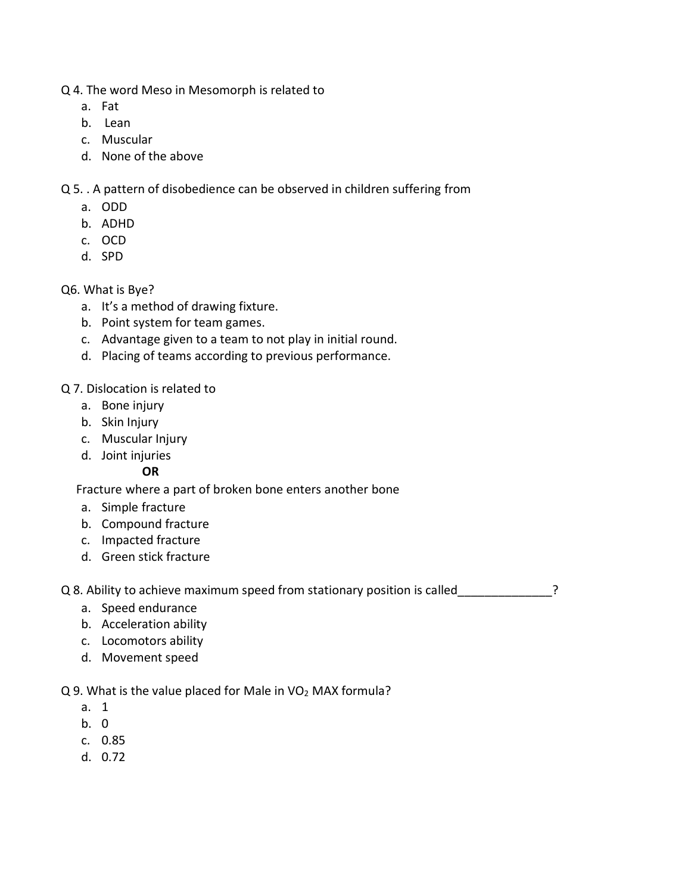- Q 4. The word Meso in Mesomorph is related to
	- a. Fat
	- b. Lean
	- c. Muscular
	- d. None of the above

Q 5. . A pattern of disobedience can be observed in children suffering from

- a. ODD
- b. ADHD
- c. OCD
- d. SPD
- Q6. What is Bye?
	- a. It's a method of drawing fixture.
	- b. Point system for team games.
	- c. Advantage given to a team to not play in initial round.
	- d. Placing of teams according to previous performance.

## Q 7. Dislocation is related to

- a. Bone injury
- b. Skin Injury
- c. Muscular Injury
- d. Joint injuries

## **OR**

Fracture where a part of broken bone enters another bone

- a. Simple fracture
- b. Compound fracture
- c. Impacted fracture
- d. Green stick fracture

Q 8. Ability to achieve maximum speed from stationary position is called  $\sim$ 

- a. Speed endurance
- b. Acceleration ability
- c. Locomotors ability
- d. Movement speed

 $Q$  9. What is the value placed for Male in VO<sub>2</sub> MAX formula?

- a. 1
- b. 0
- c. 0.85
- d. 0.72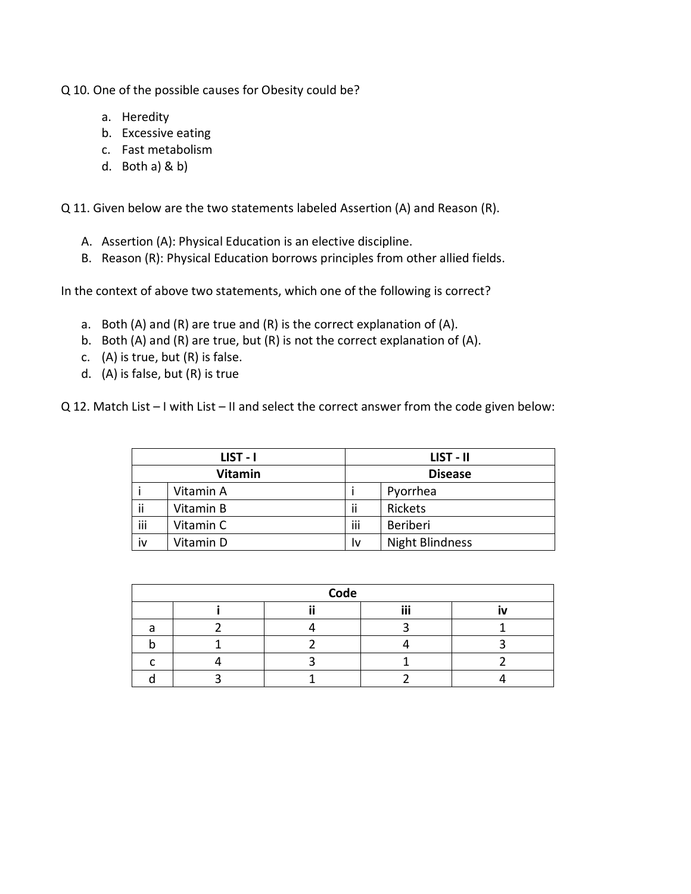Q 10. One of the possible causes for Obesity could be?

- a. Heredity
- b. Excessive eating
- c. Fast metabolism
- d. Both a) & b)

Q 11. Given below are the two statements labeled Assertion (A) and Reason (R).

- A. Assertion (A): Physical Education is an elective discipline.
- B. Reason (R): Physical Education borrows principles from other allied fields.

In the context of above two statements, which one of the following is correct?

- a. Both (A) and (R) are true and (R) is the correct explanation of (A).
- b. Both (A) and (R) are true, but (R) is not the correct explanation of (A).
- c. (A) is true, but (R) is false.
- d. (A) is false, but (R) is true

Q 12. Match List – I with List – II and select the correct answer from the code given below:

| LIST - I       |           | LIST - II      |                        |
|----------------|-----------|----------------|------------------------|
| <b>Vitamin</b> |           | <b>Disease</b> |                        |
|                | Vitamin A |                | Pyorrhea               |
| ii             | Vitamin B | ji             | Rickets                |
| iii            | Vitamin C | iii            | Beriberi               |
| iv             | Vitamin D | I٧             | <b>Night Blindness</b> |

| Code |  |  |     |   |  |  |
|------|--|--|-----|---|--|--|
|      |  |  | iii | N |  |  |
|      |  |  |     |   |  |  |
|      |  |  |     |   |  |  |
|      |  |  |     |   |  |  |
|      |  |  |     |   |  |  |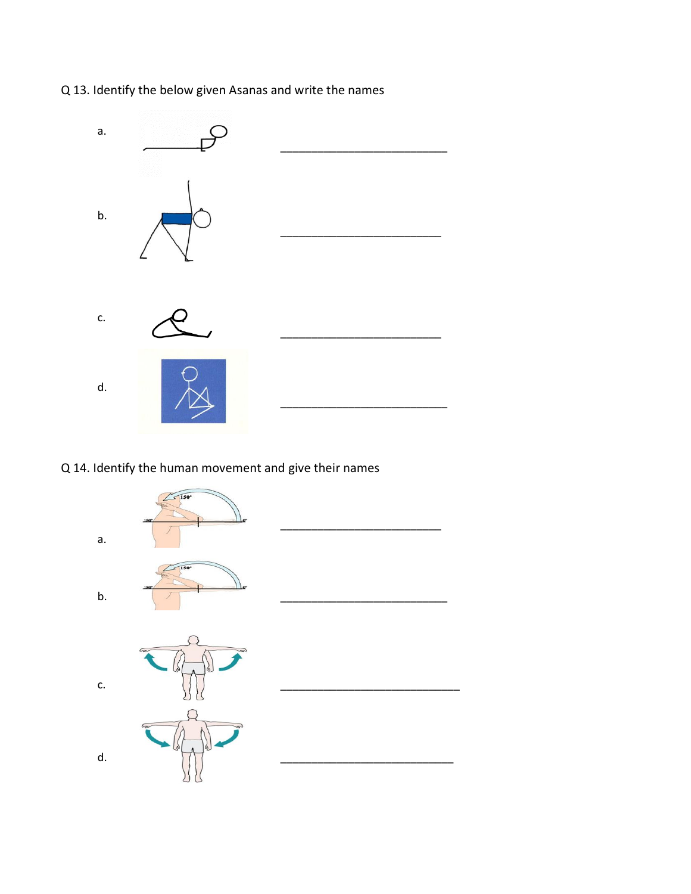Q 13. Identify the below given Asanas and write the names



# Q 14. Identify the human movement and give their names

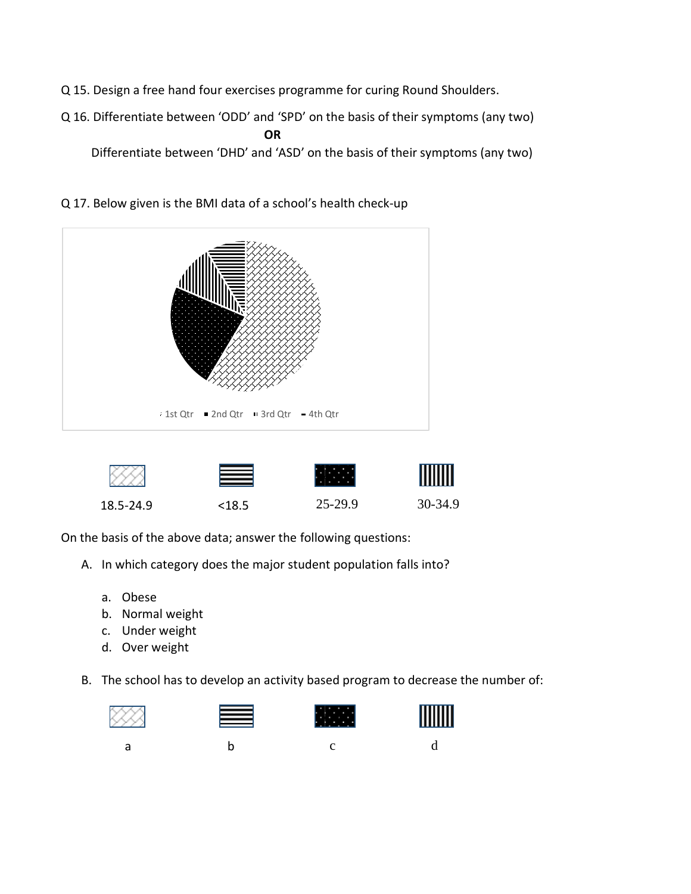- Q 15. Design a free hand four exercises programme for curing Round Shoulders.
- Q 16. Differentiate between 'ODD' and 'SPD' on the basis of their symptoms (any two) **OR** Differentiate between 'DHD' and 'ASD' on the basis of their symptoms (any two)



Q 17. Below given is the BMI data of a school's health check-up



**MMM** 

 $\ddot{\phantom{1}}$ 

On the basis of the above data; answer the following questions:

- A. In which category does the major student population falls into?
	- a. Obese
	- b. Normal weight
	- c. Under weight
	- d. Over weight
- B. The school has to develop an activity based program to decrease the number of:







a b c d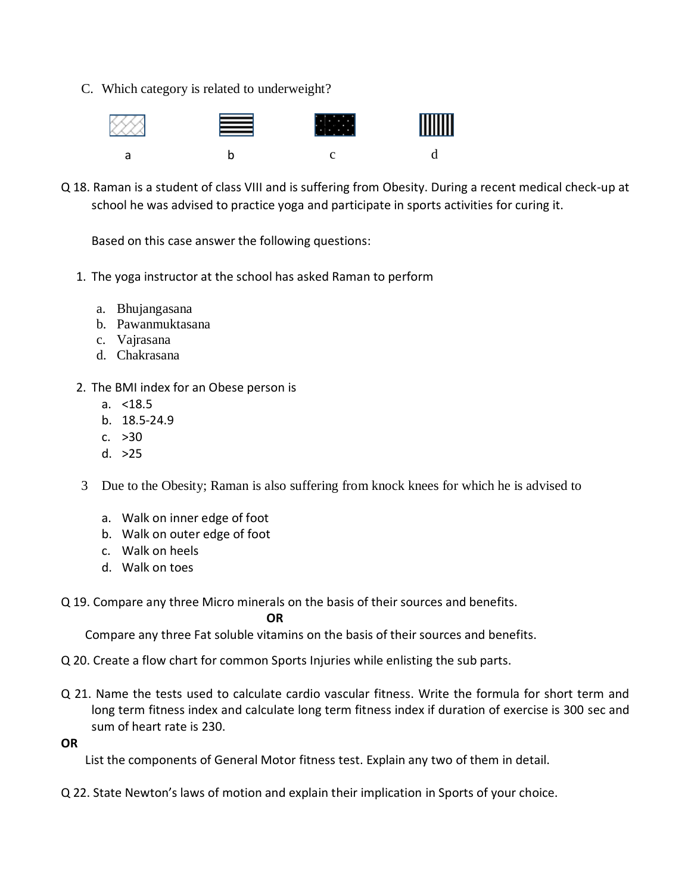C. Which category is related to underweight?



Q 18. Raman is a student of class VIII and is suffering from Obesity. During a recent medical check-up at school he was advised to practice yoga and participate in sports activities for curing it.

Based on this case answer the following questions:

- 1. The yoga instructor at the school has asked Raman to perform
	- a. Bhujangasana
	- b. Pawanmuktasana
	- c. Vajrasana
	- d. Chakrasana
- 2. The BMI index for an Obese person is
	- a. <18.5
	- b. 18.5-24.9
	- c. >30
	- d. >25
- 3 Due to the Obesity; Raman is also suffering from knock knees for which he is advised to
	- a. Walk on inner edge of foot
	- b. Walk on outer edge of foot
	- c. Walk on heels
	- d. Walk on toes
- Q 19. Compare any three Micro minerals on the basis of their sources and benefits.

 *OR* OR

Compare any three Fat soluble vitamins on the basis of their sources and benefits.

- Q 20. Create a flow chart for common Sports Injuries while enlisting the sub parts.
- Q 21. Name the tests used to calculate cardio vascular fitness. Write the formula for short term and long term fitness index and calculate long term fitness index if duration of exercise is 300 sec and sum of heart rate is 230.
- **OR**

List the components of General Motor fitness test. Explain any two of them in detail.

Q 22. State Newton's laws of motion and explain their implication in Sports of your choice.